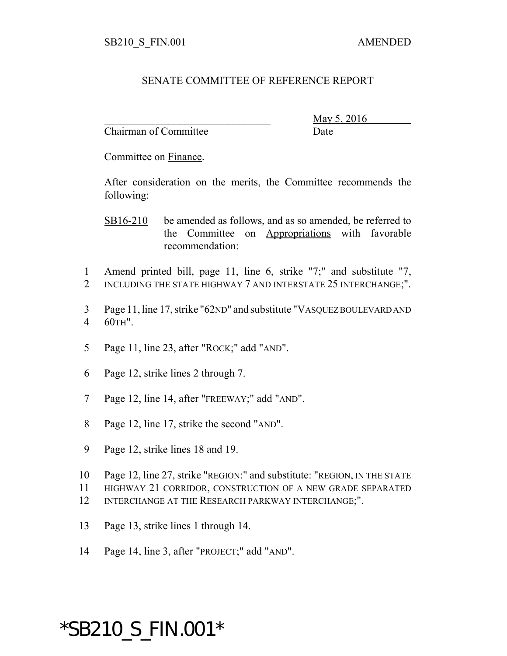## SENATE COMMITTEE OF REFERENCE REPORT

Chairman of Committee Date

\_\_\_\_\_\_\_\_\_\_\_\_\_\_\_\_\_\_\_\_\_\_\_\_\_\_\_\_\_\_\_ May 5, 2016

Committee on Finance.

After consideration on the merits, the Committee recommends the following:

SB16-210 be amended as follows, and as so amended, be referred to the Committee on Appropriations with favorable recommendation:

- 1 Amend printed bill, page 11, line 6, strike "7;" and substitute "7, 2 INCLUDING THE STATE HIGHWAY 7 AND INTERSTATE 25 INTERCHANGE:".
- 3 Page 11, line 17, strike "62ND" and substitute "VASQUEZ BOULEVARD AND 4 60TH".
- 5 Page 11, line 23, after "ROCK;" add "AND".
- 6 Page 12, strike lines 2 through 7.
- 7 Page 12, line 14, after "FREEWAY;" add "AND".
- 8 Page 12, line 17, strike the second "AND".
- 9 Page 12, strike lines 18 and 19.
- 10 Page 12, line 27, strike "REGION:" and substitute: "REGION, IN THE STATE
- 11 HIGHWAY 21 CORRIDOR, CONSTRUCTION OF A NEW GRADE SEPARATED
- 12 INTERCHANGE AT THE RESEARCH PARKWAY INTERCHANGE;".
- 13 Page 13, strike lines 1 through 14.
- 14 Page 14, line 3, after "PROJECT;" add "AND".

## \*SB210\_S\_FIN.001\*